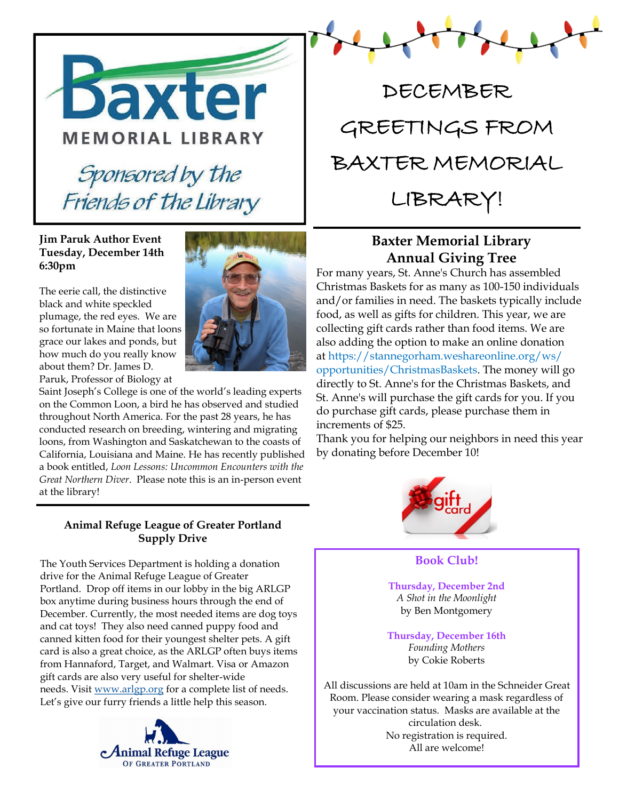

#### **Jim Paruk Author Event Tuesday, December 14th 6:30pm**

The eerie call, the distinctive black and white speckled plumage, the red eyes. We are so fortunate in Maine that loons grace our lakes and ponds, but how much do you really know about them? Dr. James D. Paruk, Professor of Biology at

Saint Joseph's College is one of the world's leading experts on the Common Loon, a bird he has observed and studied throughout North America. For the past 28 years, he has conducted research on breeding, wintering and migrating loons, from Washington and Saskatchewan to the coasts of California, Louisiana and Maine. He has recently published a book entitled, *Loon Lessons: Uncommon Encounters with the Great Northern Diver*. Please note this is an in-person event at the library!

#### **Animal Refuge League of Greater Portland Supply Drive**

The Youth Services Department is holding a donation drive for the Animal Refuge League of Greater Portland. Drop off items in our lobby in the big ARLGP box anytime during business hours through the end of December. Currently, the most needed items are dog toys and cat toys! They also need canned puppy food and canned kitten food for their youngest shelter pets. A gift card is also a great choice, as the ARLGP often buys items from Hannaford, Target, and Walmart. Visa or Amazon gift cards are also very useful for shelter-wide needs. Visit [www.arlgp.org](http://www.arlgp.org/) for a complete list of needs. Let's give our furry friends a little help this season.





## **Baxter Memorial Library Annual Giving Tree**

For many years, St. Anne's Church has assembled Christmas Baskets for as many as 100-150 individuals and/or families in need. The baskets typically include food, as well as gifts for children. This year, we are collecting gift cards rather than food items. We are also adding the option to make an online donation at https://stannegorham.weshareonline.org/ws/ opportunities/ChristmasBaskets. The money will go directly to St. Anne's for the Christmas Baskets, and St. Anne's will purchase the gift cards for you. If you do purchase gift cards, please purchase them in increments of \$25.

Thank you for helping our neighbors in need this year by donating before December 10!



#### **Book Club!**

**Thursday, December 2nd** *A Shot in the Moonlight* by Ben Montgomery

**Thursday, December 16th** *Founding Mothers* by Cokie Roberts

All discussions are held at 10am in the Schneider Great Room. Please consider wearing a mask regardless of your vaccination status. Masks are available at the circulation desk. No registration is required. All are welcome!